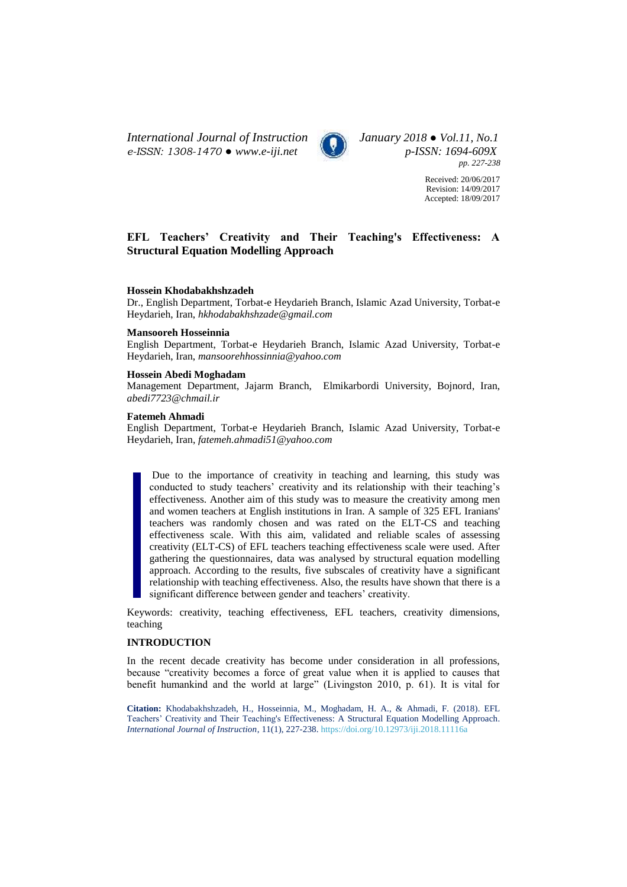*International Journal of Instruction January 2018 ● Vol.11, No.1 e-ISSN: 1308-1470 ● [www.e-iji.net](http://www.e-iji.net/) p-ISSN: 1694-609X*



*pp. 227-238*

Received: 20/06/2017 Revision: 14/09/2017 Accepted: 18/09/2017

# **EFL Teachers' Creativity and Their Teaching's Effectiveness: A Structural Equation Modelling Approach**

#### **Hossein Khodabakhshzadeh**

Dr., English Department, Torbat-e Heydarieh Branch, Islamic Azad University, Torbat-e Heydarieh, Iran, *[hkhodabakhshzade@gmail.com](mailto:hkhodabakhshzade@gmail.com)*

#### **Mansooreh Hosseinnia**

English Department, Torbat-e Heydarieh Branch, Islamic Azad University, Torbat-e Heydarieh, Iran, *mansoorehhossinnia@yahoo.com*

# **Hossein Abedi Moghadam**

Management Department, Jajarm Branch, Elmikarbordi University, Bojnord, Iran, *abedi7723@chmail.ir*

### **Fatemeh Ahmadi**

English Department, Torbat-e Heydarieh Branch, Islamic Azad University, Torbat-e Heydarieh, Iran, *fatemeh.ahmadi51@yahoo.com*

Due to the importance of creativity in teaching and learning, this study was conducted to study teachers' creativity and its relationship with their teaching's effectiveness. Another aim of this study was to measure the creativity among men and women teachers at English institutions in Iran. A sample of 325 EFL Iranians' teachers was randomly chosen and was rated on the ELT-CS and teaching effectiveness scale. With this aim, validated and reliable scales of assessing creativity (ELT-CS) of EFL teachers teaching effectiveness scale were used. After gathering the questionnaires, data was analysed by structural equation modelling approach. According to the results, five subscales of creativity have a significant relationship with teaching effectiveness. Also, the results have shown that there is a significant difference between gender and teachers' creativity.

Keywords: creativity, teaching effectiveness, EFL teachers, creativity dimensions, teaching

# **INTRODUCTION**

In the recent decade creativity has become under consideration in all professions, because "creativity becomes a force of great value when it is applied to causes that benefit humankind and the world at large" (Livingston 2010, p. 61). It is vital for

**Citation:** Khodabakhshzadeh, H., Hosseinnia, M., Moghadam, H. A., & Ahmadi, F. (2018). EFL Teachers' Creativity and Their Teaching's Effectiveness: A Structural Equation Modelling Approach. *International Journal of Instruction*, 11(1), 227-238. <https://doi.org/10.12973/iji.2018.11116a>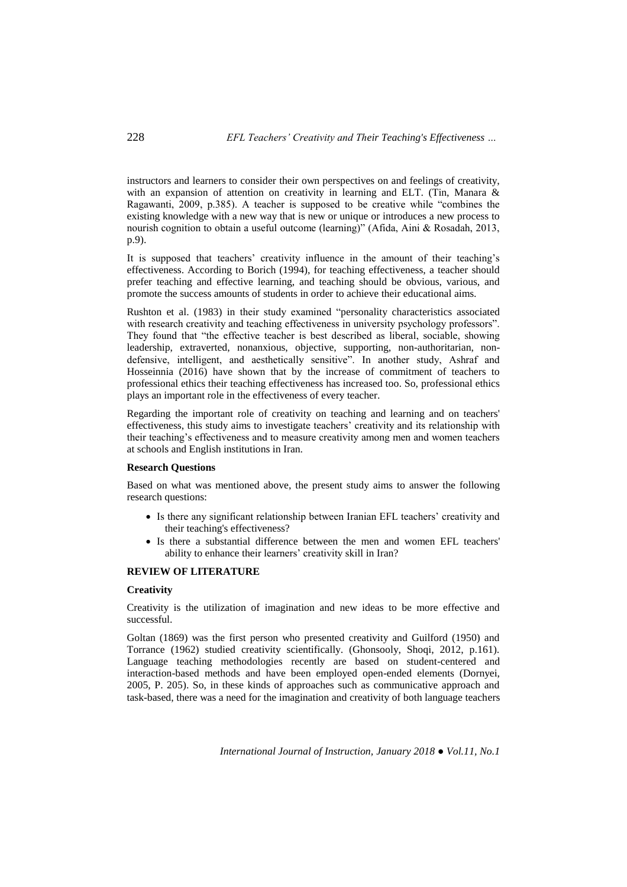instructors and learners to consider their own perspectives on and feelings of creativity, with an expansion of attention on creativity in learning and ELT. (Tin, Manara & Ragawanti, 2009, p.385). A teacher is supposed to be creative while "combines the existing knowledge with a new way that is new or unique or introduces a new process to nourish cognition to obtain a useful outcome (learning)" (Afida, Aini & Rosadah, 2013, p.9).

It is supposed that teachers' creativity influence in the amount of their teaching's effectiveness. According to Borich (1994), for teaching effectiveness, a teacher should prefer teaching and effective learning, and teaching should be obvious, various, and promote the success amounts of students in order to achieve their educational aims.

Rushton et al. (1983) in their study examined "personality characteristics associated with research creativity and teaching effectiveness in university psychology professors". They found that "the effective teacher is best described as liberal, sociable, showing leadership, extraverted, nonanxious, objective, supporting, non-authoritarian, nondefensive, intelligent, and aesthetically sensitive". In another study, Ashraf and Hosseinnia (2016) have shown that by the increase of commitment of teachers to professional ethics their teaching effectiveness has increased too. So, professional ethics plays an important role in the effectiveness of every teacher.

Regarding the important role of creativity on teaching and learning and on teachers' effectiveness, this study aims to investigate teachers' creativity and its relationship with their teaching's effectiveness and to measure creativity among men and women teachers at schools and English institutions in Iran.

# **Research Questions**

Based on what was mentioned above, the present study aims to answer the following research questions:

- Is there any significant relationship between Iranian EFL teachers' creativity and their teaching's effectiveness?
- Is there a substantial difference between the men and women EFL teachers' ability to enhance their learners' creativity skill in Iran?

# **REVIEW OF LITERATURE**

#### **Creativity**

Creativity is the utilization of imagination and new ideas to be more effective and successful.

Goltan (1869) was the first person who presented creativity and Guilford (1950) and Torrance (1962) studied creativity scientifically. (Ghonsooly, Shoqi, 2012, p.161). Language teaching methodologies recently are based on student-centered and interaction-based methods and have been employed open-ended elements (Dornyei, 2005, P. 205). So, in these kinds of approaches such as communicative approach and task-based, there was a need for the imagination and creativity of both language teachers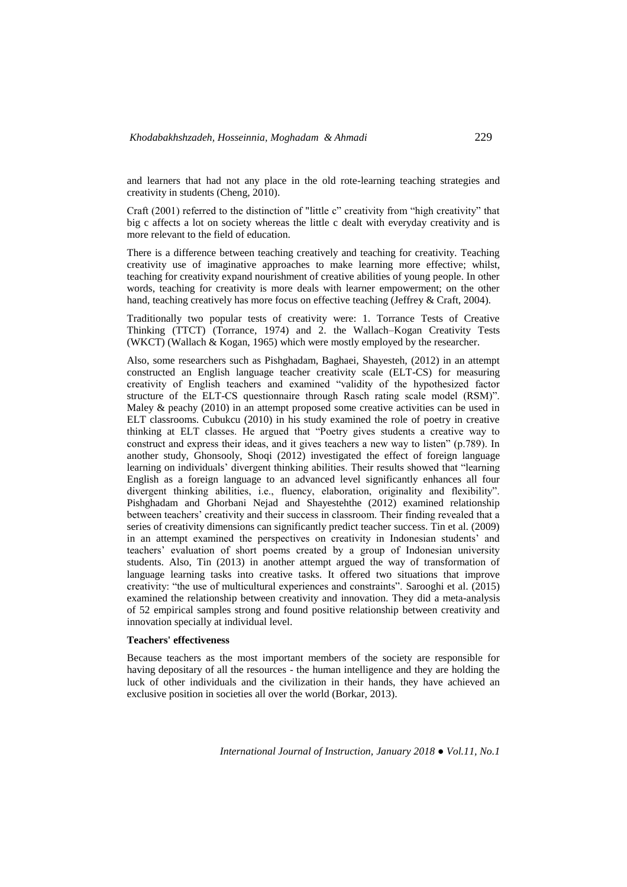and learners that had not any place in the old rote-learning teaching strategies and creativity in students (Cheng, 2010).

Craft (2001) referred to the distinction of "little c" creativity from "high creativity" that big c affects a lot on society whereas the little c dealt with everyday creativity and is more relevant to the field of education.

There is a difference between teaching creatively and teaching for creativity. Teaching creativity use of imaginative approaches to make learning more effective; whilst, teaching for creativity expand nourishment of creative abilities of young people. In other words, teaching for creativity is more deals with learner empowerment; on the other hand, teaching creatively has more focus on effective teaching (Jeffrey & Craft, 2004).

Traditionally two popular tests of creativity were: 1. Torrance Tests of Creative Thinking (TTCT) (Torrance, 1974) and 2. the Wallach–Kogan Creativity Tests (WKCT) (Wallach & Kogan, 1965) which were mostly employed by the researcher.

Also, some researchers such as Pishghadam, Baghaei, Shayesteh, (2012) in an attempt constructed an English language teacher creativity scale (ELT-CS) for measuring creativity of English teachers and examined "validity of the hypothesized factor structure of the ELT-CS questionnaire through Rasch rating scale model (RSM)". Maley & peachy (2010) in an attempt proposed some creative activities can be used in ELT classrooms. Cubukcu (2010) in his study examined the role of poetry in creative thinking at ELT classes. He argued that "Poetry gives students a creative way to construct and express their ideas, and it gives teachers a new way to listen" (p.789). In another study, Ghonsooly, Shoqi (2012) investigated the effect of foreign language learning on individuals' divergent thinking abilities. Their results showed that "learning English as a foreign language to an advanced level significantly enhances all four divergent thinking abilities, i.e., fluency, elaboration, originality and flexibility". Pishghadam and Ghorbani Nejad and Shayestehthe (2012) examined relationship between teachers' creativity and their success in classroom. Their finding revealed that a series of creativity dimensions can significantly predict teacher success. Tin et al. (2009) in an attempt examined the perspectives on creativity in Indonesian students' and teachers' evaluation of short poems created by a group of Indonesian university students. Also, Tin (2013) in another attempt argued the way of transformation of language learning tasks into creative tasks. It offered two situations that improve creativity: "the use of multicultural experiences and constraints". Sarooghi et al. (2015) examined the relationship between creativity and innovation. They did a meta-analysis of 52 empirical samples strong and found positive relationship between creativity and innovation specially at individual level.

### **Teachers' effectiveness**

Because teachers as the most important members of the society are responsible for having depositary of all the resources - the human intelligence and they are holding the luck of other individuals and the civilization in their hands, they have achieved an exclusive position in societies all over the world (Borkar, 2013).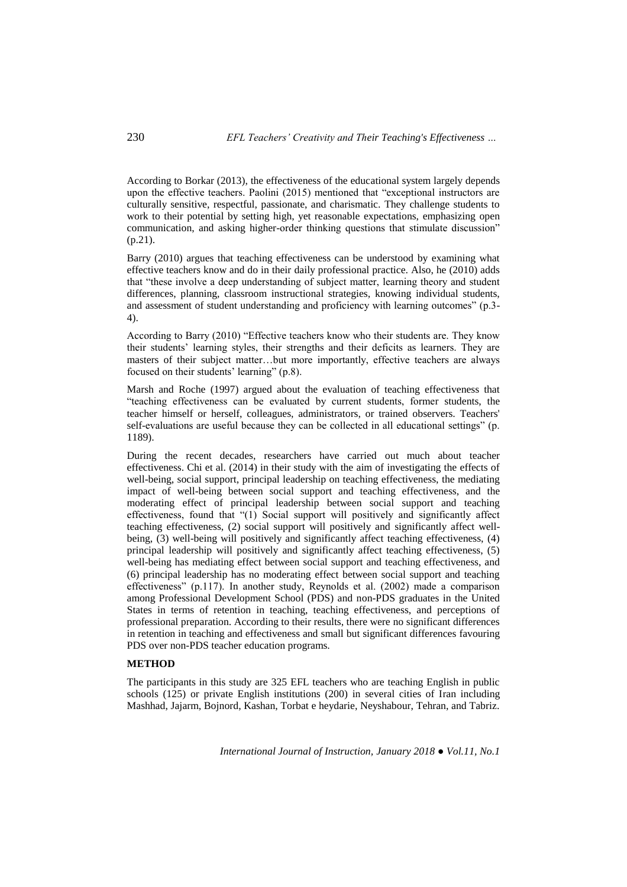According to Borkar (2013), the effectiveness of the educational system largely depends upon the effective teachers. Paolini (2015) mentioned that "exceptional instructors are culturally sensitive, respectful, passionate, and charismatic. They challenge students to work to their potential by setting high, yet reasonable expectations, emphasizing open communication, and asking higher-order thinking questions that stimulate discussion" (p.21).

Barry (2010) argues that teaching effectiveness can be understood by examining what effective teachers know and do in their daily professional practice. Also, he (2010) adds that "these involve a deep understanding of subject matter, learning theory and student differences, planning, classroom instructional strategies, knowing individual students, and assessment of student understanding and proficiency with learning outcomes" (p.3- 4).

According to Barry (2010) "Effective teachers know who their students are. They know their students' learning styles, their strengths and their deficits as learners. They are masters of their subject matter…but more importantly, effective teachers are always focused on their students' learning" (p.8).

Marsh and Roche (1997) argued about the evaluation of teaching effectiveness that "teaching effectiveness can be evaluated by current students, former students, the teacher himself or herself, colleagues, administrators, or trained observers. Teachers' self-evaluations are useful because they can be collected in all educational settings" (p. 1189).

During the recent decades, researchers have carried out much about teacher effectiveness. Chi et al. (2014) in their study with the aim of investigating the effects of well-being, social support, principal leadership on teaching effectiveness, the mediating impact of well-being between social support and teaching effectiveness, and the moderating effect of principal leadership between social support and teaching effectiveness, found that "(1) Social support will positively and significantly affect teaching effectiveness, (2) social support will positively and significantly affect wellbeing, (3) well-being will positively and significantly affect teaching effectiveness, (4) principal leadership will positively and significantly affect teaching effectiveness, (5) well-being has mediating effect between social support and teaching effectiveness, and (6) principal leadership has no moderating effect between social support and teaching effectiveness" (p.117). In another study, Reynolds et al. (2002) made a comparison among Professional Development School (PDS) and non-PDS graduates in the United States in terms of retention in teaching, teaching effectiveness, and perceptions of professional preparation. According to their results, there were no significant differences in retention in teaching and effectiveness and small but significant differences favouring PDS over non-PDS teacher education programs.

## **METHOD**

The participants in this study are 325 EFL teachers who are teaching English in public schools (125) or private English institutions (200) in several cities of Iran including Mashhad, Jajarm, Bojnord, Kashan, Torbat e heydarie, Neyshabour, Tehran, and Tabriz.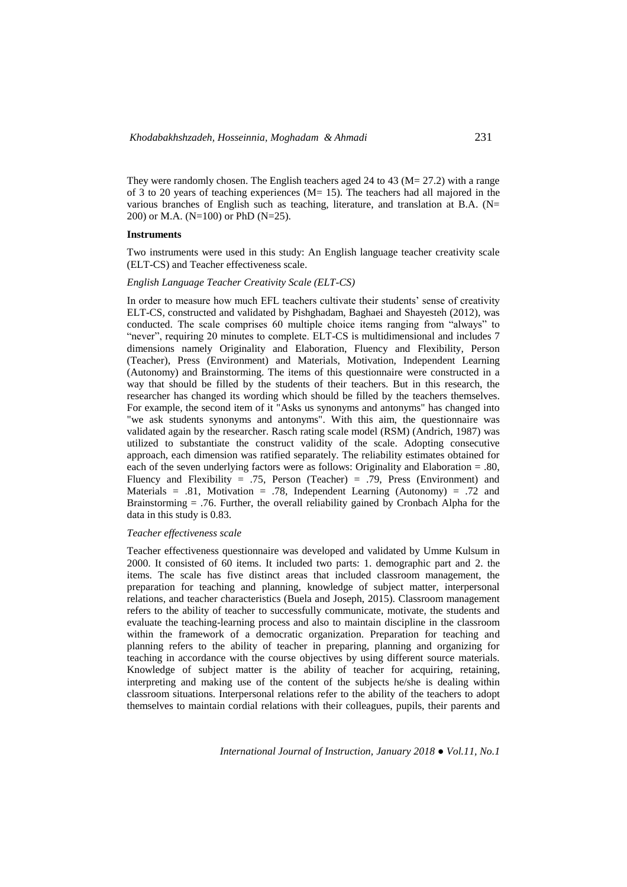They were randomly chosen. The English teachers aged 24 to 43 ( $M = 27.2$ ) with a range of 3 to 20 years of teaching experiences  $(M= 15)$ . The teachers had all majored in the various branches of English such as teaching, literature, and translation at B.A. ( $N=$ 200) or M.A. (N=100) or PhD (N=25).

### **Instruments**

Two instruments were used in this study: An English language teacher creativity scale (ELT-CS) and Teacher effectiveness scale.

### *English Language Teacher Creativity Scale (ELT-CS)*

In order to measure how much EFL teachers cultivate their students' sense of creativity ELT-CS, constructed and validated by Pishghadam, Baghaei and Shayesteh (2012), was conducted. The scale comprises 60 multiple choice items ranging from "always" to "never", requiring 20 minutes to complete. ELT-CS is multidimensional and includes 7 dimensions namely Originality and Elaboration, Fluency and Flexibility, Person (Teacher), Press (Environment) and Materials, Motivation, Independent Learning (Autonomy) and Brainstorming. The items of this questionnaire were constructed in a way that should be filled by the students of their teachers. But in this research, the researcher has changed its wording which should be filled by the teachers themselves. For example, the second item of it "Asks us synonyms and antonyms" has changed into "we ask students synonyms and antonyms". With this aim, the questionnaire was validated again by the researcher. Rasch rating scale model (RSM) (Andrich, 1987) was utilized to substantiate the construct validity of the scale. Adopting consecutive approach, each dimension was ratified separately. The reliability estimates obtained for each of the seven underlying factors were as follows: Originality and Elaboration = .80, Fluency and Flexibility = .75, Person (Teacher) = .79, Press (Environment) and Materials = .81, Motivation = .78, Independent Learning (Autonomy) = .72 and Brainstorming  $=$  .76. Further, the overall reliability gained by Cronbach Alpha for the data in this study is 0.83.

## *Teacher effectiveness scale*

Teacher effectiveness questionnaire was developed and validated by Umme Kulsum in 2000. It consisted of 60 items. It included two parts: 1. demographic part and 2. the items. The scale has five distinct areas that included classroom management, the preparation for teaching and planning, knowledge of subject matter, interpersonal relations, and teacher characteristics (Buela and Joseph, 2015). Classroom management refers to the ability of teacher to successfully communicate, motivate, the students and evaluate the teaching-learning process and also to maintain discipline in the classroom within the framework of a democratic organization. Preparation for teaching and planning refers to the ability of teacher in preparing, planning and organizing for teaching in accordance with the course objectives by using different source materials. Knowledge of subject matter is the ability of teacher for acquiring, retaining, interpreting and making use of the content of the subjects he/she is dealing within classroom situations. Interpersonal relations refer to the ability of the teachers to adopt themselves to maintain cordial relations with their colleagues, pupils, their parents and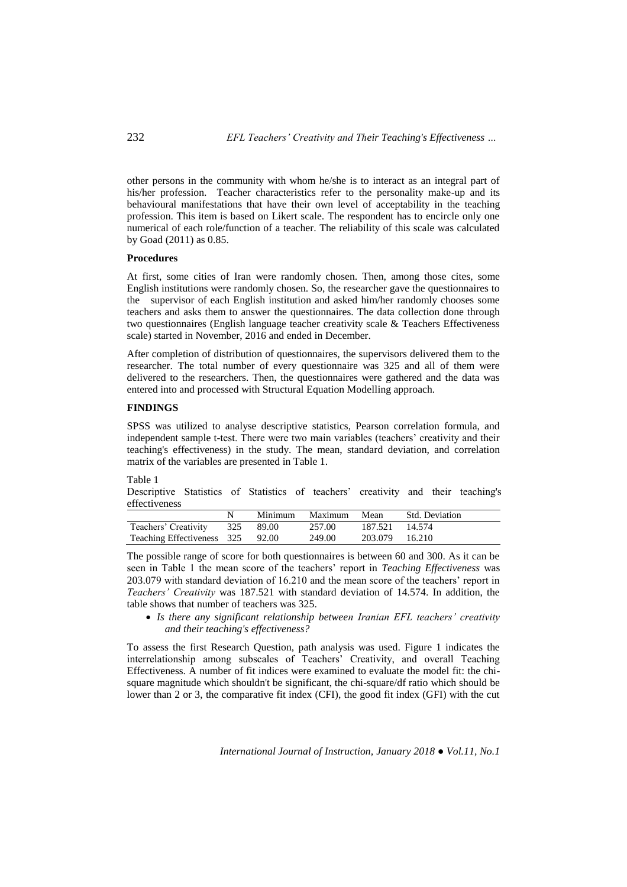232 *EFL Teachers' Creativity and Their Teaching's Effectiveness …*

other persons in the community with whom he/she is to interact as an integral part of his/her profession. Teacher characteristics refer to the personality make-up and its behavioural manifestations that have their own level of acceptability in the teaching profession. This item is based on Likert scale. The respondent has to encircle only one numerical of each role/function of a teacher. The reliability of this scale was calculated by Goad (2011) as 0.85.

#### **Procedures**

At first, some cities of Iran were randomly chosen. Then, among those cites, some English institutions were randomly chosen. So, the researcher gave the questionnaires to the supervisor of each English institution and asked him/her randomly chooses some teachers and asks them to answer the questionnaires. The data collection done through two questionnaires (English language teacher creativity scale & Teachers Effectiveness scale) started in November, 2016 and ended in December.

After completion of distribution of questionnaires, the supervisors delivered them to the researcher. The total number of every questionnaire was 325 and all of them were delivered to the researchers. Then, the questionnaires were gathered and the data was entered into and processed with Structural Equation Modelling approach.

# **FINDINGS**

SPSS was utilized to analyse descriptive statistics, Pearson correlation formula, and independent sample t-test. There were two main variables (teachers' creativity and their teaching's effectiveness) in the study. The mean, standard deviation, and correlation matrix of the variables are presented in Table 1.

Table 1

Descriptive Statistics of Statistics of teachers' creativity and their teaching's effectiveness

|                                  | Minimum | Maximum | Mean           | <b>Std. Deviation</b> |
|----------------------------------|---------|---------|----------------|-----------------------|
| Teachers' Creativity 325 89.00   |         | 257.00  | 187.521 14.574 |                       |
| Teaching Effectiveness 325 92.00 |         | 249.00  | 203.079 16.210 |                       |

The possible range of score for both questionnaires is between 60 and 300. As it can be seen in Table 1 the mean score of the teachers' report in *Teaching Effectiveness* was 203.079 with standard deviation of 16.210 and the mean score of the teachers' report in *Teachers' Creativity* was 187.521 with standard deviation of 14.574. In addition, the table shows that number of teachers was 325.

 *Is there any significant relationship between Iranian EFL teachers' creativity and their teaching's effectiveness?*

To assess the first Research Question, path analysis was used. Figure 1 indicates the interrelationship among subscales of Teachers' Creativity, and overall Teaching Effectiveness. A number of fit indices were examined to evaluate the model fit: the chisquare magnitude which shouldn't be significant, the chi-square/df ratio which should be lower than 2 or 3, the comparative fit index (CFI), the good fit index (GFI) with the cut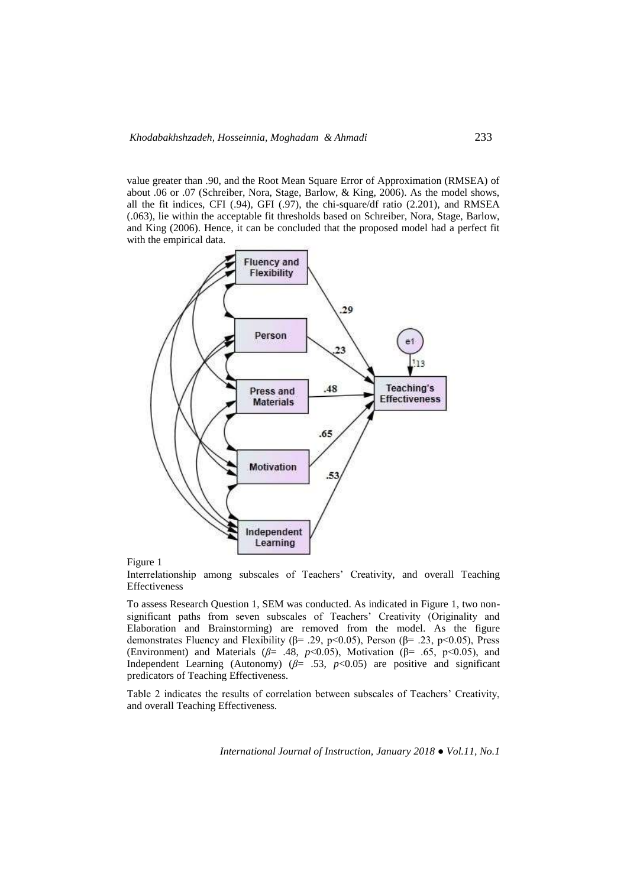value greater than .90, and the Root Mean Square Error of Approximation (RMSEA) of about .06 or .07 (Schreiber, Nora, Stage, Barlow, & King, 2006). As the model shows, all the fit indices, CFI (.94), GFI (.97), the chi-square/df ratio (2.201), and RMSEA (.063), lie within the acceptable fit thresholds based on Schreiber, Nora, Stage, Barlow, and King (2006). Hence, it can be concluded that the proposed model had a perfect fit with the empirical data.



Figure 1

Interrelationship among subscales of Teachers' Creativity, and overall Teaching Effectiveness

To assess Research Question 1, SEM was conducted. As indicated in Figure 1, two nonsignificant paths from seven subscales of Teachers' Creativity (Originality and Elaboration and Brainstorming) are removed from the model. As the figure demonstrates Fluency and Flexibility ( $\beta$ = .29, p<0.05), Person ( $\beta$ = .23, p<0.05), Press (Environment) and Materials ( $\beta$ = .48,  $p$ <0.05), Motivation ( $\beta$ = .65,  $p$ <0.05), and Independent Learning (Autonomy) ( $\beta$ = .53,  $p$ <0.05) are positive and significant predicators of Teaching Effectiveness.

Table 2 indicates the results of correlation between subscales of Teachers' Creativity, and overall Teaching Effectiveness.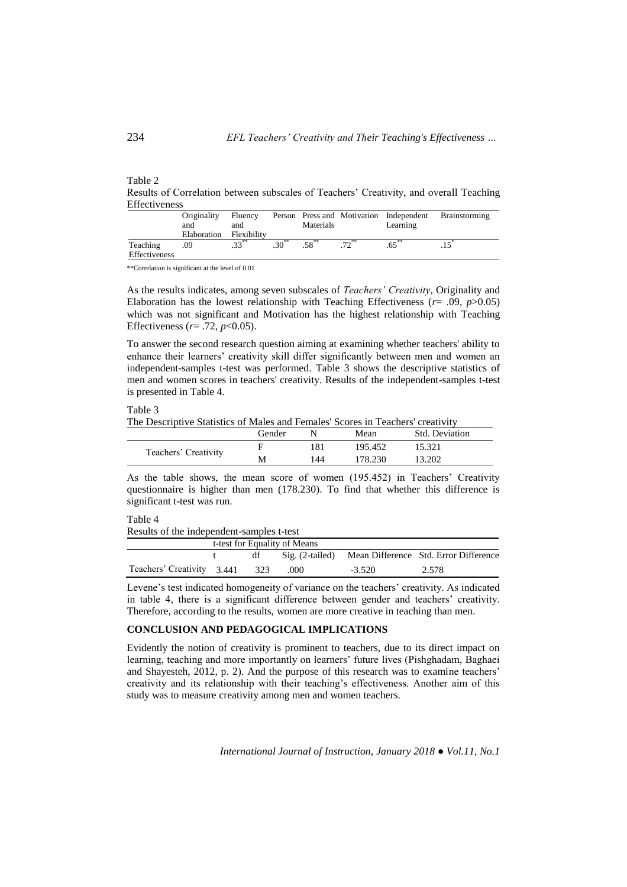| ------                                                                                 |  |
|----------------------------------------------------------------------------------------|--|
| Results of Correlation between subscales of Teachers' Creativity, and overall Teaching |  |
| <b>Effectiveness</b>                                                                   |  |

|                           | Originality<br>and<br>Elaboration Flexibility | Fluency<br>and |          | Materials |         | Person Press and Motivation Independent<br>Learning | <b>Brainstorming</b> |
|---------------------------|-----------------------------------------------|----------------|----------|-----------|---------|-----------------------------------------------------|----------------------|
| Teaching<br>Effectiveness | .09                                           | $22***$        | $.30***$ | $.58***$  | $72***$ |                                                     |                      |

\*\*Correlation is significant at the level of 0.01

As the results indicates, among seven subscales of *Teachers' Creativity*, Originality and Elaboration has the lowest relationship with Teaching Effectiveness ( $r = .09$ ,  $p > 0.05$ ) which was not significant and Motivation has the highest relationship with Teaching Effectiveness (*r*= .72, *p*<0.05).

To answer the second research question aiming at examining whether teachers' ability to enhance their learners' creativity skill differ significantly between men and women an independent-samples t-test was performed. Table 3 shows the descriptive statistics of men and women scores in teachers' creativity. Results of the independent-samples t-test is presented in Table 4.

#### Table 3

The Descriptive Statistics of Males and Females' Scores in Teachers' creativity

|                      | Gender |     | Mean    | Std. Deviation |
|----------------------|--------|-----|---------|----------------|
| Teachers' Creativity |        | 181 | 195.452 | 15.321         |
|                      | М      | 144 | 178.230 | 13.202         |

As the table shows, the mean score of women (195.452) in Teachers' Creativity questionnaire is higher than men (178.230). To find that whether this difference is significant t-test was run.

Table 4 Results of the independent-samples t-test

| t-test for Equality of Means |  |     |      |          |                                                       |  |
|------------------------------|--|-----|------|----------|-------------------------------------------------------|--|
|                              |  | dt  |      |          | Sig. (2-tailed) Mean Difference Std. Error Difference |  |
| Teachers' Creativity 3.441   |  | 323 | .000 | $-3.520$ | 2.578                                                 |  |

Levene's test indicated homogeneity of variance on the teachers' creativity. As indicated in table 4, there is a significant difference between gender and teachers' creativity. Therefore, according to the results, women are more creative in teaching than men.

# **CONCLUSION AND PEDAGOGICAL IMPLICATIONS**

Evidently the notion of creativity is prominent to teachers, due to its direct impact on learning, teaching and more importantly on learners' future lives (Pishghadam, Baghaei and Shayesteh, 2012, p. 2). And the purpose of this research was to examine teachers' creativity and its relationship with their teaching's effectiveness. Another aim of this study was to measure creativity among men and women teachers.

*International Journal of Instruction, January 2018 ● Vol.11, No.1*

Table 2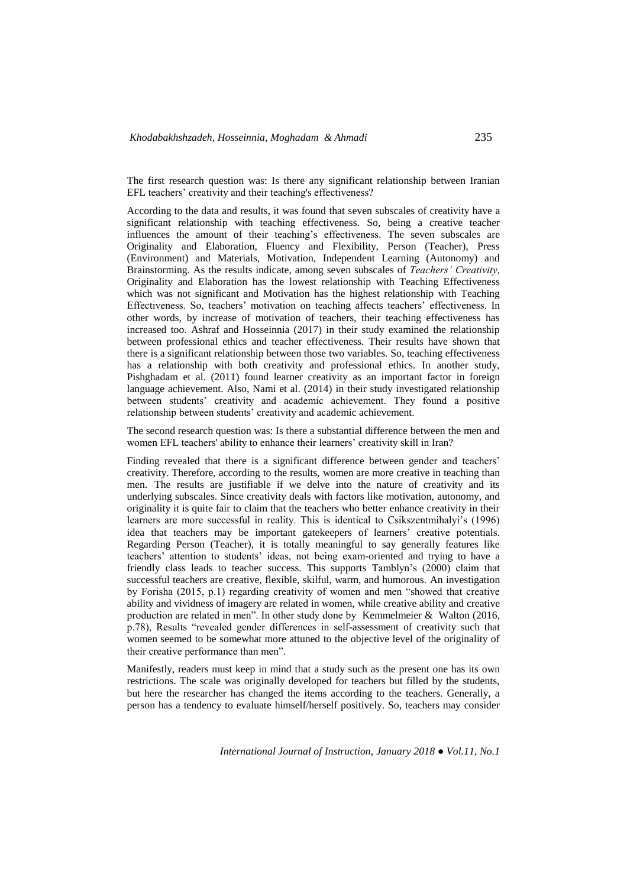The first research question was: Is there any significant relationship between Iranian EFL teachers' creativity and their teaching's effectiveness?

According to the data and results, it was found that seven subscales of creativity have a significant relationship with teaching effectiveness. So, being a creative teacher influences the amount of their teaching's effectiveness. The seven subscales are Originality and Elaboration, Fluency and Flexibility, Person (Teacher), Press (Environment) and Materials, Motivation, Independent Learning (Autonomy) and Brainstorming. As the results indicate, among seven subscales of *Teachers' Creativity*, Originality and Elaboration has the lowest relationship with Teaching Effectiveness which was not significant and Motivation has the highest relationship with Teaching Effectiveness. So, teachers' motivation on teaching affects teachers' effectiveness. In other words, by increase of motivation of teachers, their teaching effectiveness has increased too. Ashraf and Hosseinnia (2017) in their study examined the relationship between professional ethics and teacher effectiveness. Their results have shown that there is a significant relationship between those two variables. So, teaching effectiveness has a relationship with both creativity and professional ethics. In another study, Pishghadam et al. (2011) found learner creativity as an important factor in foreign language achievement. Also, Nami et al. (2014) in their study investigated relationship between students' creativity and academic achievement. They found a positive relationship between students' creativity and academic achievement.

The second research question was: Is there a substantial difference between the men and women EFL teachers' ability to enhance their learners' creativity skill in Iran?

Finding revealed that there is a significant difference between gender and teachers' creativity. Therefore, according to the results, women are more creative in teaching than men. The results are justifiable if we delve into the nature of creativity and its underlying subscales. Since creativity deals with factors like motivation, autonomy, and originality it is quite fair to claim that the teachers who better enhance creativity in their learners are more successful in reality. This is identical to Csikszentmihalyi's (1996) idea that teachers may be important gatekeepers of learners' creative potentials. Regarding Person (Teacher), it is totally meaningful to say generally features like teachers' attention to students' ideas, not being exam-oriented and trying to have a friendly class leads to teacher success. This supports Tamblyn's (2000) claim that successful teachers are creative, flexible, skilful, warm, and humorous. An investigation by Forisha (2015, p.1) regarding creativity of women and men "showed that creative ability and vividness of imagery are related in women, while creative ability and creative production are related in men". In other study done by [Kemmelmeier](http://www.tandfonline.com/author/Kemmelmeier%2C+Markus) & [Walton](http://www.tandfonline.com/author/Walton%2C+Andre+P) (2016, p.78), Results "revealed gender differences in self-assessment of creativity such that women seemed to be somewhat more attuned to the objective level of the originality of their creative performance than men".

Manifestly, readers must keep in mind that a study such as the present one has its own restrictions. The scale was originally developed for teachers but filled by the students, but here the researcher has changed the items according to the teachers. Generally, a person has a tendency to evaluate himself/herself positively. So, teachers may consider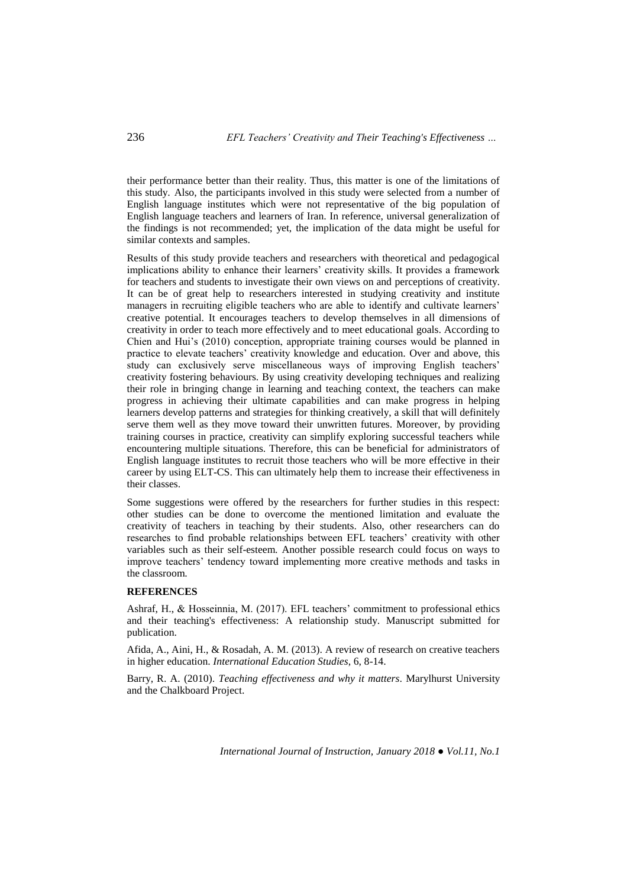their performance better than their reality. Thus, this matter is one of the limitations of this study. Also, the participants involved in this study were selected from a number of English language institutes which were not representative of the big population of English language teachers and learners of Iran. In reference, universal generalization of the findings is not recommended; yet, the implication of the data might be useful for similar contexts and samples.

Results of this study provide teachers and researchers with theoretical and pedagogical implications ability to enhance their learners' creativity skills. It provides a framework for teachers and students to investigate their own views on and perceptions of creativity. It can be of great help to researchers interested in studying creativity and institute managers in recruiting eligible teachers who are able to identify and cultivate learners' creative potential. It encourages teachers to develop themselves in all dimensions of creativity in order to teach more effectively and to meet educational goals. According to Chien and Hui's (2010) conception, appropriate training courses would be planned in practice to elevate teachers' creativity knowledge and education. Over and above, this study can exclusively serve miscellaneous ways of improving English teachers' creativity fostering behaviours. By using creativity developing techniques and realizing their role in bringing change in learning and teaching context, the teachers can make progress in achieving their ultimate capabilities and can make progress in helping learners develop patterns and strategies for thinking creatively, a skill that will definitely serve them well as they move toward their unwritten futures. Moreover, by providing training courses in practice, creativity can simplify exploring successful teachers while encountering multiple situations. Therefore, this can be beneficial for administrators of English language institutes to recruit those teachers who will be more effective in their career by using ELT-CS. This can ultimately help them to increase their effectiveness in their classes.

Some suggestions were offered by the researchers for further studies in this respect: other studies can be done to overcome the mentioned limitation and evaluate the creativity of teachers in teaching by their students. Also, other researchers can do researches to find probable relationships between EFL teachers' creativity with other variables such as their self-esteem. Another possible research could focus on ways to improve teachers' tendency toward implementing more creative methods and tasks in the classroom.

# **REFERENCES**

Ashraf, H., & Hosseinnia, M. (2017). EFL teachers' commitment to professional ethics and their teaching's effectiveness: A relationship study. Manuscript submitted for publication.

Afida, A., Aini, H., & Rosadah, A. M. (2013). A review of research on creative teachers in higher education. *International Education Studies*, 6, 8-14.

Barry, R. A. (2010). *Teaching effectiveness and why it matters*. Marylhurst University and the Chalkboard Project.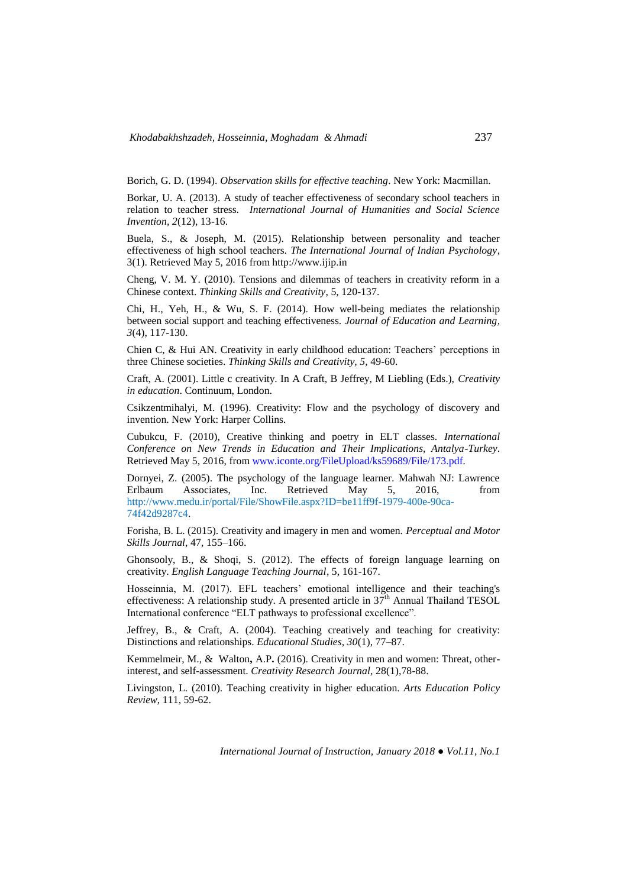Borich, G. D. (1994). *Observation skills for effective teaching*. New York: Macmillan.

Borkar, U. A. (2013). A study of teacher effectiveness of secondary school teachers in relation to teacher stress. *International Journal of Humanities and Social Science Invention, 2*(12), 13-16.

Buela, S., & Joseph, M. (2015). Relationship between personality and teacher effectiveness of high school teachers. *The International Journal of Indian Psychology*, 3(1). Retrieved May 5, 2016 from http://www.ijip.in

Cheng, V. M. Y. (2010). Tensions and dilemmas of teachers in creativity reform in a Chinese context. *Thinking Skills and Creativity*, 5, 120-137.

Chi, H., Yeh, H., & Wu, S. F. (2014). How well-being mediates the relationship between social support and teaching effectiveness. *Journal of Education and Learning, 3*(4), 117-130.

Chien C, & Hui AN. Creativity in early childhood education: Teachers' perceptions in three Chinese societies. *Thinking Skills and Creativity, 5,* 49-60.

Craft, A. (2001). Little c creativity. In A Craft, B Jeffrey, M Liebling (Eds.), *Creativity in education*. Continuum, London.

Csikzentmihalyi, M. (1996). Creativity: Flow and the psychology of discovery and invention. New York: Harper Collins.

Cubukcu, F. (2010), Creative thinking and poetry in ELT classes. *International Conference on New Trends in Education and Their Implications, Antalya-Turkey*. Retrieved May 5, 2016, fro[m www.iconte.org/FileUpload/ks59689/File/173.pdf](http://www.iconte.org/FileUpload/ks59689/File/173.pdf)*.*

Dornyei, Z. (2005). The psychology of the language learner. Mahwah NJ: Lawrence Erlbaum Associates, Inc. Retrieved May 5, 2016, from [http://www.medu.ir/portal/File/ShowFile.aspx?ID=be11ff9f-1979-400e-90ca-](http://www.medu.ir/portal/File/ShowFile.aspx?ID=be11ff9f-1979-400e-90ca-74f42d9287c4)[74f42d9287c4.](http://www.medu.ir/portal/File/ShowFile.aspx?ID=be11ff9f-1979-400e-90ca-74f42d9287c4)

Forisha, B. L. (2015). Creativity and imagery in men and women. *[Perceptual and Motor](https://www.researchgate.net/journal/0031-5125_Perceptual_and_Motor_Skills)  [Skills](https://www.researchgate.net/journal/0031-5125_Perceptual_and_Motor_Skills) Journal*, 47, 155–166.

Ghonsooly, B., & Shoqi, S. (2012). The effects of foreign language learning on creativity. *English Language Teaching Journal*, 5, 161-167.

Hosseinnia, M. (2017). EFL teachers' emotional intelligence and their teaching's effectiveness: A relationship study. A presented article in  $37<sup>th</sup>$  Annual Thailand TESOL International conference "ELT pathways to professional excellence".

Jeffrey, B., & Craft, A. (2004). Teaching creatively and teaching for creativity: Distinctions and relationships. *Educational Studies, 30*(1), 77–87.

Kemmelmeir, M., & [Walton](http://www.tandfonline.com/author/Walton%2C+Andre+P)**,** A.P**.** (2016). Creativity in men and women: Threat, otherinterest, and self-assessment. *Creativity Research Journal*[, 28\(](http://www.tandfonline.com/loi/hcrj20?open=28&repitition=0#vol_28)1),78-88.

Livingston, L. (2010). Teaching creativity in higher education. *Arts Education Policy Review*, 111, 59-62.